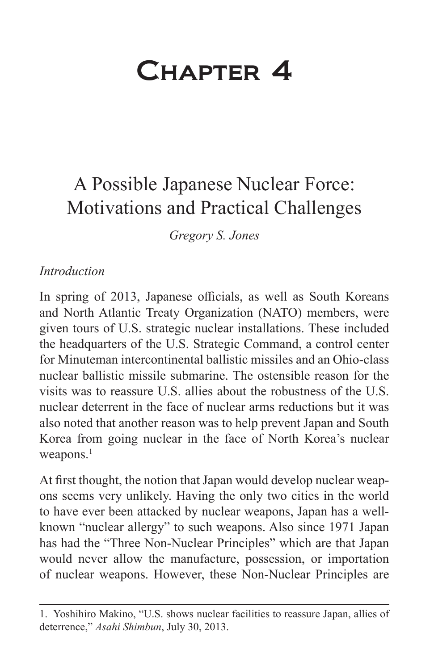# Chapter 4

## A Possible Japanese Nuclear Force: Motivations and Practical Challenges

*Gregory S. Jones*

#### *Introduction*

In spring of 2013, Japanese officials, as well as South Koreans and North Atlantic Treaty Organization (NATO) members, were given tours of U.S. strategic nuclear installations. These included the headquarters of the U.S. Strategic Command, a control center for Minuteman intercontinental ballistic missiles and an Ohio-class nuclear ballistic missile submarine. The ostensible reason for the visits was to reassure U.S. allies about the robustness of the U.S. nuclear deterrent in the face of nuclear arms reductions but it was also noted that another reason was to help prevent Japan and South Korea from going nuclear in the face of North Korea's nuclear weapons.<sup>1</sup>

At first thought, the notion that Japan would develop nuclear weapons seems very unlikely. Having the only two cities in the world to have ever been attacked by nuclear weapons, Japan has a wellknown "nuclear allergy" to such weapons. Also since 1971 Japan has had the "Three Non-Nuclear Principles" which are that Japan would never allow the manufacture, possession, or importation of nuclear weapons. However, these Non-Nuclear Principles are

<sup>1.</sup> Yoshihiro Makino, "U.S. shows nuclear facilities to reassure Japan, allies of deterrence," *Asahi Shimbun*, July 30, 2013.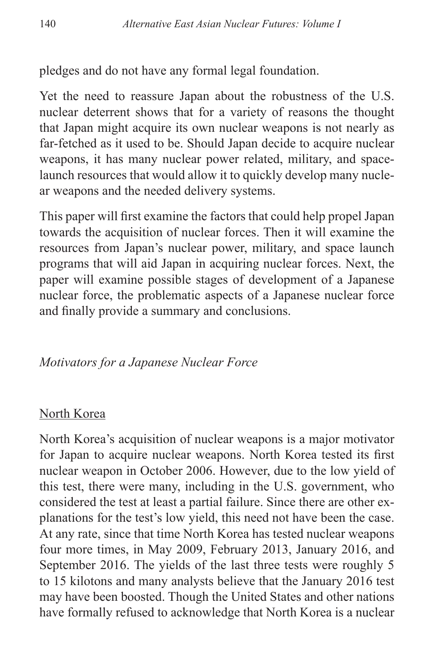pledges and do not have any formal legal foundation.

Yet the need to reassure Japan about the robustness of the U.S. nuclear deterrent shows that for a variety of reasons the thought that Japan might acquire its own nuclear weapons is not nearly as far-fetched as it used to be. Should Japan decide to acquire nuclear weapons, it has many nuclear power related, military, and spacelaunch resources that would allow it to quickly develop many nuclear weapons and the needed delivery systems.

This paper will first examine the factors that could help propel Japan towards the acquisition of nuclear forces. Then it will examine the resources from Japan's nuclear power, military, and space launch programs that will aid Japan in acquiring nuclear forces. Next, the paper will examine possible stages of development of a Japanese nuclear force, the problematic aspects of a Japanese nuclear force and finally provide a summary and conclusions.

#### *Motivators for a Japanese Nuclear Force*

#### North Korea

North Korea's acquisition of nuclear weapons is a major motivator for Japan to acquire nuclear weapons. North Korea tested its first nuclear weapon in October 2006. However, due to the low yield of this test, there were many, including in the U.S. government, who considered the test at least a partial failure. Since there are other explanations for the test's low yield, this need not have been the case. At any rate, since that time North Korea has tested nuclear weapons four more times, in May 2009, February 2013, January 2016, and September 2016. The yields of the last three tests were roughly 5 to 15 kilotons and many analysts believe that the January 2016 test may have been boosted. Though the United States and other nations have formally refused to acknowledge that North Korea is a nuclear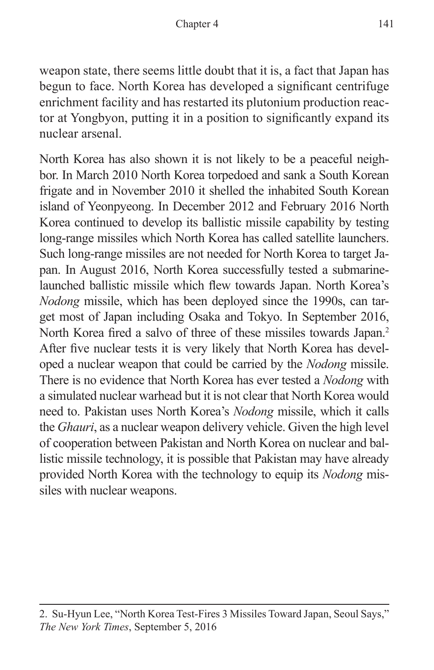weapon state, there seems little doubt that it is, a fact that Japan has begun to face. North Korea has developed a significant centrifuge enrichment facility and has restarted its plutonium production reactor at Yongbyon, putting it in a position to significantly expand its nuclear arsenal.

North Korea has also shown it is not likely to be a peaceful neighbor. In March 2010 North Korea torpedoed and sank a South Korean frigate and in November 2010 it shelled the inhabited South Korean island of Yeonpyeong. In December 2012 and February 2016 North Korea continued to develop its ballistic missile capability by testing long-range missiles which North Korea has called satellite launchers. Such long-range missiles are not needed for North Korea to target Japan. In August 2016, North Korea successfully tested a submarinelaunched ballistic missile which flew towards Japan. North Korea's *Nodong* missile, which has been deployed since the 1990s, can target most of Japan including Osaka and Tokyo. In September 2016, North Korea fired a salvo of three of these missiles towards Japan.<sup>2</sup> After five nuclear tests it is very likely that North Korea has developed a nuclear weapon that could be carried by the *Nodong* missile. There is no evidence that North Korea has ever tested a *Nodong* with a simulated nuclear warhead but it is not clear that North Korea would need to. Pakistan uses North Korea's *Nodong* missile, which it calls the *Ghauri*, as a nuclear weapon delivery vehicle. Given the high level of cooperation between Pakistan and North Korea on nuclear and ballistic missile technology, it is possible that Pakistan may have already provided North Korea with the technology to equip its *Nodong* missiles with nuclear weapons.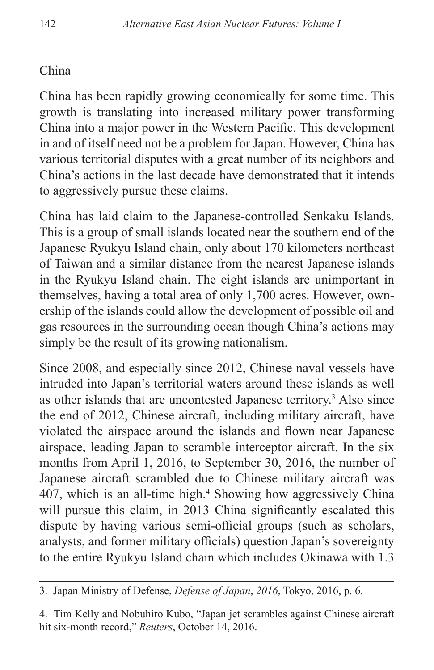## China

China has been rapidly growing economically for some time. This growth is translating into increased military power transforming China into a major power in the Western Pacific. This development in and of itself need not be a problem for Japan. However, China has various territorial disputes with a great number of its neighbors and China's actions in the last decade have demonstrated that it intends to aggressively pursue these claims.

China has laid claim to the Japanese-controlled Senkaku Islands. This is a group of small islands located near the southern end of the Japanese Ryukyu Island chain, only about 170 kilometers northeast of Taiwan and a similar distance from the nearest Japanese islands in the Ryukyu Island chain. The eight islands are unimportant in themselves, having a total area of only 1,700 acres. However, ownership of the islands could allow the development of possible oil and gas resources in the surrounding ocean though China's actions may simply be the result of its growing nationalism.

Since 2008, and especially since 2012, Chinese naval vessels have intruded into Japan's territorial waters around these islands as well as other islands that are uncontested Japanese territory.<sup>3</sup> Also since the end of 2012, Chinese aircraft, including military aircraft, have violated the airspace around the islands and flown near Japanese airspace, leading Japan to scramble interceptor aircraft. In the six months from April 1, 2016, to September 30, 2016, the number of Japanese aircraft scrambled due to Chinese military aircraft was 407, which is an all-time high.4 Showing how aggressively China will pursue this claim, in 2013 China significantly escalated this dispute by having various semi-official groups (such as scholars, analysts, and former military officials) question Japan's sovereignty to the entire Ryukyu Island chain which includes Okinawa with 1.3

<sup>3.</sup> Japan Ministry of Defense, *Defense of Japan*, *2016*, Tokyo, 2016, p. 6.

<sup>4.</sup> Tim Kelly and Nobuhiro Kubo, "Japan jet scrambles against Chinese aircraft hit six-month record," *Reuters*, October 14, 2016.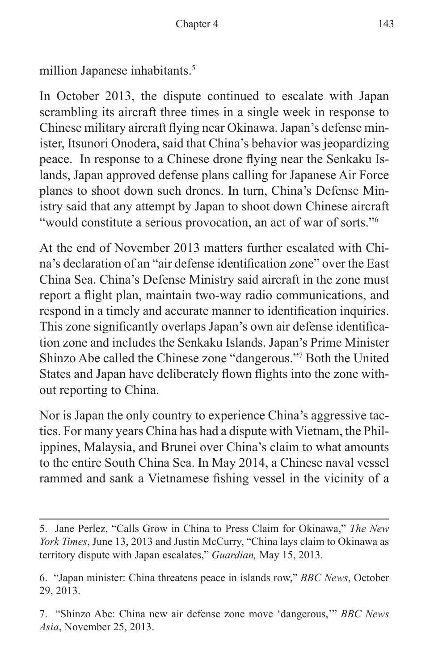million Japanese inhabitants.<sup>5</sup>

In October 2013, the dispute continued to escalate with Japan scrambling its aircraft three times in a single week in response to Chinese military aircraft flying near Okinawa. Japan's defense minister, Itsunori Onodera, said that China's behavior was jeopardizing peace. In response to a Chinese drone flying near the Senkaku Islands, Japan approved defense plans calling for Japanese Air Force planes to shoot down such drones. In turn, China's Defense Ministry said that any attempt by Japan to shoot down Chinese aircraft "would constitute a serious provocation, an act of war of sorts."<sup>6</sup>

At the end of November 2013 matters further escalated with China's declaration of an "air defense identification zone" over the East China Sea. China's Defense Ministry said aircraft in the zone must report a flight plan, maintain two-way radio communications, and respond in a timely and accurate manner to identification inquiries. This zone significantly overlaps Japan's own air defense identification zone and includes the Senkaku Islands. Japan's Prime Minister Shinzo Abe called the Chinese zone "dangerous."7 Both the United States and Japan have deliberately flown flights into the zone without reporting to China.

Nor is Japan the only country to experience China's aggressive tactics. For many years China has had a dispute with Vietnam, the Philippines, Malaysia, and Brunei over China's claim to what amounts to the entire South China Sea. In May 2014, a Chinese naval vessel rammed and sank a Vietnamese fishing vessel in the vicinity of a

<sup>5.</sup> Jane Perlez, "Calls Grow in China to Press Claim for Okinawa," *The New York Times*, June 13, 2013 and Justin McCurry, "China lays claim to Okinawa as territory dispute with Japan escalates," *Guardian,* May 15, 2013.

<sup>6. &</sup>quot;Japan minister: China threatens peace in islands row," *BBC News*, October 29, 2013.

<sup>7. &</sup>quot;Shinzo Abe: China new air defense zone move 'dangerous,'" *BBC News Asia*, November 25, 2013.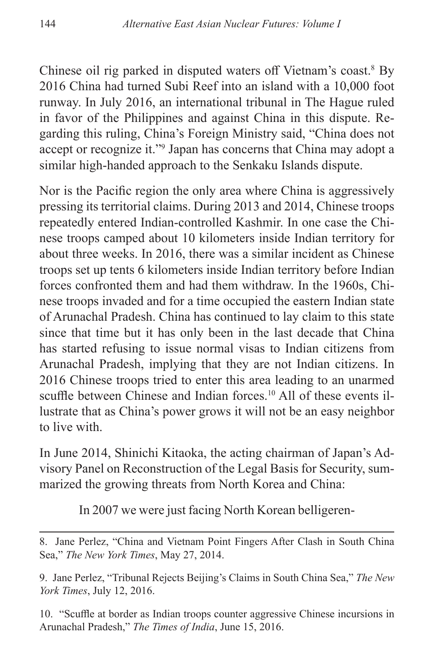Chinese oil rig parked in disputed waters off Vietnam's coast.<sup>8</sup> By 2016 China had turned Subi Reef into an island with a 10,000 foot runway. In July 2016, an international tribunal in The Hague ruled in favor of the Philippines and against China in this dispute. Regarding this ruling, China's Foreign Ministry said, "China does not accept or recognize it."9 Japan has concerns that China may adopt a similar high-handed approach to the Senkaku Islands dispute.

Nor is the Pacific region the only area where China is aggressively pressing its territorial claims. During 2013 and 2014, Chinese troops repeatedly entered Indian-controlled Kashmir. In one case the Chinese troops camped about 10 kilometers inside Indian territory for about three weeks. In 2016, there was a similar incident as Chinese troops set up tents 6 kilometers inside Indian territory before Indian forces confronted them and had them withdraw. In the 1960s, Chinese troops invaded and for a time occupied the eastern Indian state of Arunachal Pradesh. China has continued to lay claim to this state since that time but it has only been in the last decade that China has started refusing to issue normal visas to Indian citizens from Arunachal Pradesh, implying that they are not Indian citizens. In 2016 Chinese troops tried to enter this area leading to an unarmed scuffle between Chinese and Indian forces.<sup>10</sup> All of these events illustrate that as China's power grows it will not be an easy neighbor to live with.

In June 2014, Shinichi Kitaoka, the acting chairman of Japan's Advisory Panel on Reconstruction of the Legal Basis for Security, summarized the growing threats from North Korea and China:

In 2007 we were just facing North Korean belligeren-

8. Jane Perlez, "China and Vietnam Point Fingers After Clash in South China Sea," *The New York Times*, May 27, 2014.

9. Jane Perlez, "Tribunal Rejects Beijing's Claims in South China Sea," *The New York Times*, July 12, 2016.

10. "Scuffle at border as Indian troops counter aggressive Chinese incursions in Arunachal Pradesh," *The Times of India*, June 15, 2016.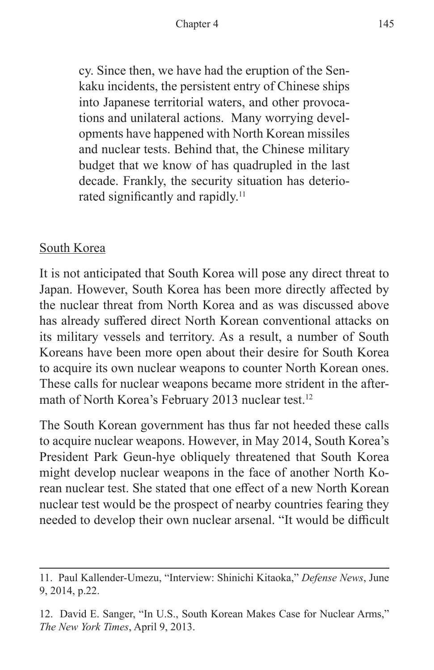cy. Since then, we have had the eruption of the Senkaku incidents, the persistent entry of Chinese ships into Japanese territorial waters, and other provocations and unilateral actions. Many worrying developments have happened with North Korean missiles and nuclear tests. Behind that, the Chinese military budget that we know of has quadrupled in the last decade. Frankly, the security situation has deteriorated significantly and rapidly.<sup>11</sup>

#### South Korea

It is not anticipated that South Korea will pose any direct threat to Japan. However, South Korea has been more directly affected by the nuclear threat from North Korea and as was discussed above has already suffered direct North Korean conventional attacks on its military vessels and territory. As a result, a number of South Koreans have been more open about their desire for South Korea to acquire its own nuclear weapons to counter North Korean ones. These calls for nuclear weapons became more strident in the aftermath of North Korea's February 2013 nuclear test.<sup>12</sup>

The South Korean government has thus far not heeded these calls to acquire nuclear weapons. However, in May 2014, South Korea's President Park Geun-hye obliquely threatened that South Korea might develop nuclear weapons in the face of another North Korean nuclear test. She stated that one effect of a new North Korean nuclear test would be the prospect of nearby countries fearing they needed to develop their own nuclear arsenal. "It would be difficult

<sup>11.</sup> Paul Kallender-Umezu, "Interview: Shinichi Kitaoka," *Defense News*, June 9, 2014, p.22.

<sup>12.</sup> David E. Sanger, "In U.S., South Korean Makes Case for Nuclear Arms," *The New York Times*, April 9, 2013.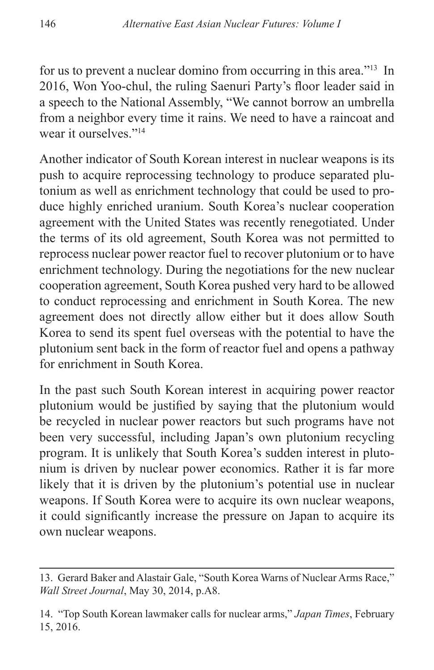for us to prevent a nuclear domino from occurring in this area."13 In 2016, Won Yoo-chul, the ruling Saenuri Party's floor leader said in a speech to the National Assembly, "We cannot borrow an umbrella from a neighbor every time it rains. We need to have a raincoat and wear it ourselves."14

Another indicator of South Korean interest in nuclear weapons is its push to acquire reprocessing technology to produce separated plutonium as well as enrichment technology that could be used to produce highly enriched uranium. South Korea's nuclear cooperation agreement with the United States was recently renegotiated. Under the terms of its old agreement, South Korea was not permitted to reprocess nuclear power reactor fuel to recover plutonium or to have enrichment technology. During the negotiations for the new nuclear cooperation agreement, South Korea pushed very hard to be allowed to conduct reprocessing and enrichment in South Korea. The new agreement does not directly allow either but it does allow South Korea to send its spent fuel overseas with the potential to have the plutonium sent back in the form of reactor fuel and opens a pathway for enrichment in South Korea.

In the past such South Korean interest in acquiring power reactor plutonium would be justified by saying that the plutonium would be recycled in nuclear power reactors but such programs have not been very successful, including Japan's own plutonium recycling program. It is unlikely that South Korea's sudden interest in plutonium is driven by nuclear power economics. Rather it is far more likely that it is driven by the plutonium's potential use in nuclear weapons. If South Korea were to acquire its own nuclear weapons, it could significantly increase the pressure on Japan to acquire its own nuclear weapons.

<sup>13.</sup> Gerard Baker and Alastair Gale, "South Korea Warns of Nuclear Arms Race," *Wall Street Journal*, May 30, 2014, p.A8.

<sup>14. &</sup>quot;Top South Korean lawmaker calls for nuclear arms," *Japan Times*, February 15, 2016.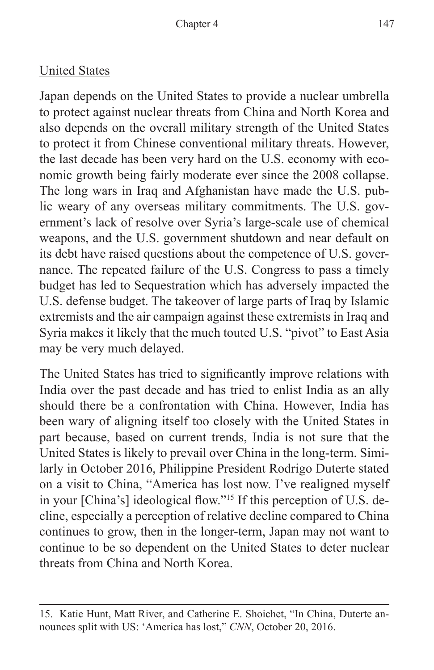#### United States

Japan depends on the United States to provide a nuclear umbrella to protect against nuclear threats from China and North Korea and also depends on the overall military strength of the United States to protect it from Chinese conventional military threats. However, the last decade has been very hard on the U.S. economy with economic growth being fairly moderate ever since the 2008 collapse. The long wars in Iraq and Afghanistan have made the U.S. public weary of any overseas military commitments. The U.S. government's lack of resolve over Syria's large-scale use of chemical weapons, and the U.S. government shutdown and near default on its debt have raised questions about the competence of U.S. governance. The repeated failure of the U.S. Congress to pass a timely budget has led to Sequestration which has adversely impacted the U.S. defense budget. The takeover of large parts of Iraq by Islamic extremists and the air campaign against these extremists in Iraq and Syria makes it likely that the much touted U.S. "pivot" to East Asia may be very much delayed.

The United States has tried to significantly improve relations with India over the past decade and has tried to enlist India as an ally should there be a confrontation with China. However, India has been wary of aligning itself too closely with the United States in part because, based on current trends, India is not sure that the United States is likely to prevail over China in the long-term. Similarly in October 2016, Philippine President Rodrigo Duterte stated on a visit to China, "America has lost now. I've realigned myself in your [China's] ideological flow."15 If this perception of U.S. decline, especially a perception of relative decline compared to China continues to grow, then in the longer-term, Japan may not want to continue to be so dependent on the United States to deter nuclear threats from China and North Korea.

<sup>15.</sup> Katie Hunt, Matt River, and Catherine E. Shoichet, "In China, Duterte announces split with US: 'America has lost," *CNN*, October 20, 2016.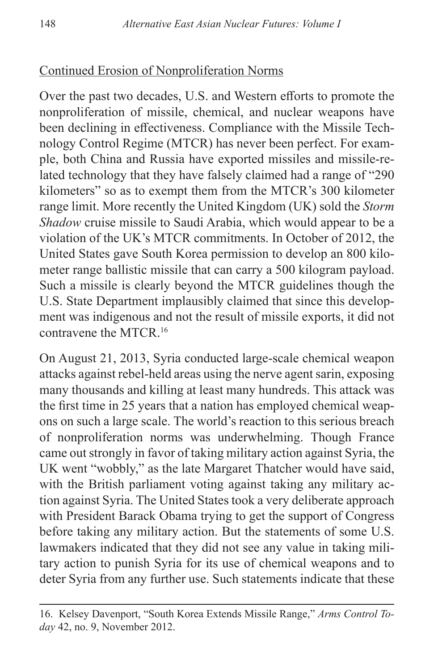#### Continued Erosion of Nonproliferation Norms

Over the past two decades, U.S. and Western efforts to promote the nonproliferation of missile, chemical, and nuclear weapons have been declining in effectiveness. Compliance with the Missile Technology Control Regime (MTCR) has never been perfect. For example, both China and Russia have exported missiles and missile-related technology that they have falsely claimed had a range of "290 kilometers" so as to exempt them from the MTCR's 300 kilometer range limit. More recently the United Kingdom (UK) sold the *Storm Shadow* cruise missile to Saudi Arabia, which would appear to be a violation of the UK's MTCR commitments. In October of 2012, the United States gave South Korea permission to develop an 800 kilometer range ballistic missile that can carry a 500 kilogram payload. Such a missile is clearly beyond the MTCR guidelines though the U.S. State Department implausibly claimed that since this development was indigenous and not the result of missile exports, it did not contravene the MTCR.16

On August 21, 2013, Syria conducted large-scale chemical weapon attacks against rebel-held areas using the nerve agent sarin, exposing many thousands and killing at least many hundreds. This attack was the first time in 25 years that a nation has employed chemical weapons on such a large scale. The world's reaction to this serious breach of nonproliferation norms was underwhelming. Though France came out strongly in favor of taking military action against Syria, the UK went "wobbly," as the late Margaret Thatcher would have said, with the British parliament voting against taking any military action against Syria. The United States took a very deliberate approach with President Barack Obama trying to get the support of Congress before taking any military action. But the statements of some U.S. lawmakers indicated that they did not see any value in taking military action to punish Syria for its use of chemical weapons and to deter Syria from any further use. Such statements indicate that these

<sup>16.</sup> Kelsey Davenport, "South Korea Extends Missile Range," *Arms Control Today* 42, no. 9, November 2012.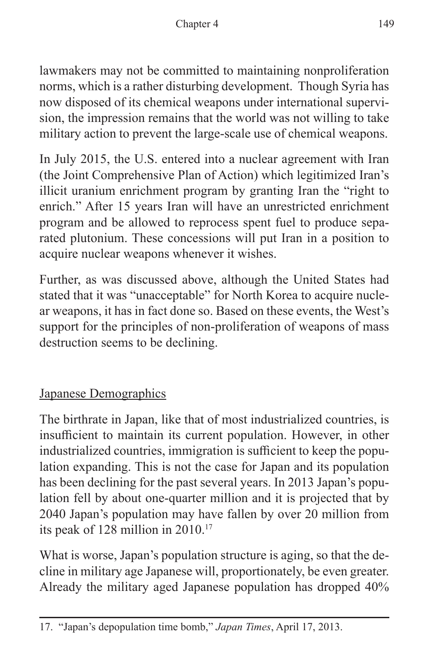lawmakers may not be committed to maintaining nonproliferation norms, which is a rather disturbing development. Though Syria has now disposed of its chemical weapons under international supervision, the impression remains that the world was not willing to take military action to prevent the large-scale use of chemical weapons.

In July 2015, the U.S. entered into a nuclear agreement with Iran (the Joint Comprehensive Plan of Action) which legitimized Iran's illicit uranium enrichment program by granting Iran the "right to enrich." After 15 years Iran will have an unrestricted enrichment program and be allowed to reprocess spent fuel to produce separated plutonium. These concessions will put Iran in a position to acquire nuclear weapons whenever it wishes.

Further, as was discussed above, although the United States had stated that it was "unacceptable" for North Korea to acquire nuclear weapons, it has in fact done so. Based on these events, the West's support for the principles of non-proliferation of weapons of mass destruction seems to be declining.

## Japanese Demographics

The birthrate in Japan, like that of most industrialized countries, is insufficient to maintain its current population. However, in other industrialized countries, immigration is sufficient to keep the population expanding. This is not the case for Japan and its population has been declining for the past several years. In 2013 Japan's population fell by about one-quarter million and it is projected that by 2040 Japan's population may have fallen by over 20 million from its peak of 128 million in 2010.17

What is worse, Japan's population structure is aging, so that the decline in military age Japanese will, proportionately, be even greater. Already the military aged Japanese population has dropped 40%

<sup>17. &</sup>quot;Japan's depopulation time bomb," *Japan Times*, April 17, 2013.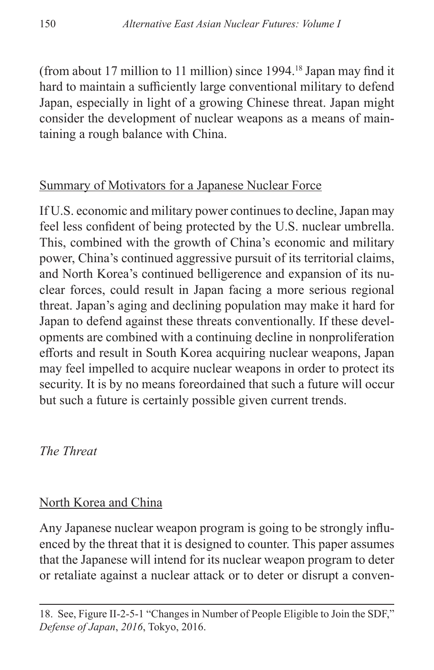(from about 17 million to 11 million) since 1994.18 Japan may find it hard to maintain a sufficiently large conventional military to defend Japan, especially in light of a growing Chinese threat. Japan might consider the development of nuclear weapons as a means of maintaining a rough balance with China.

#### Summary of Motivators for a Japanese Nuclear Force

If U.S. economic and military power continues to decline, Japan may feel less confident of being protected by the U.S. nuclear umbrella. This, combined with the growth of China's economic and military power, China's continued aggressive pursuit of its territorial claims, and North Korea's continued belligerence and expansion of its nuclear forces, could result in Japan facing a more serious regional threat. Japan's aging and declining population may make it hard for Japan to defend against these threats conventionally. If these developments are combined with a continuing decline in nonproliferation efforts and result in South Korea acquiring nuclear weapons, Japan may feel impelled to acquire nuclear weapons in order to protect its security. It is by no means foreordained that such a future will occur but such a future is certainly possible given current trends.

*The Threat*

## North Korea and China

Any Japanese nuclear weapon program is going to be strongly influenced by the threat that it is designed to counter. This paper assumes that the Japanese will intend for its nuclear weapon program to deter or retaliate against a nuclear attack or to deter or disrupt a conven-

<sup>18.</sup> See, Figure II-2-5-1 "Changes in Number of People Eligible to Join the SDF," *Defense of Japan*, *2016*, Tokyo, 2016.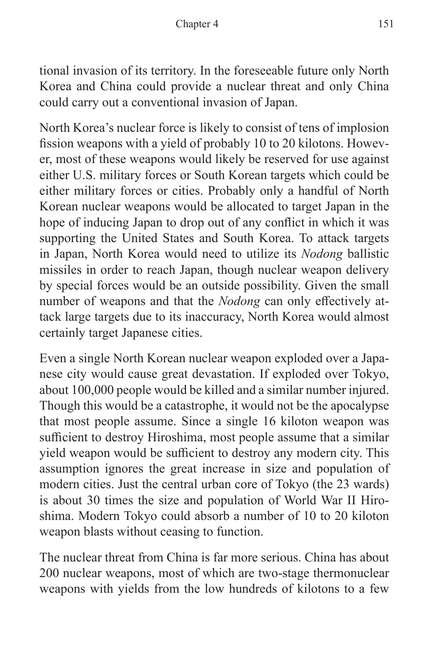tional invasion of its territory. In the foreseeable future only North Korea and China could provide a nuclear threat and only China could carry out a conventional invasion of Japan.

North Korea's nuclear force is likely to consist of tens of implosion fission weapons with a yield of probably 10 to 20 kilotons. However, most of these weapons would likely be reserved for use against either U.S. military forces or South Korean targets which could be either military forces or cities. Probably only a handful of North Korean nuclear weapons would be allocated to target Japan in the hope of inducing Japan to drop out of any conflict in which it was supporting the United States and South Korea. To attack targets in Japan, North Korea would need to utilize its *Nodong* ballistic missiles in order to reach Japan, though nuclear weapon delivery by special forces would be an outside possibility. Given the small number of weapons and that the *Nodong* can only effectively attack large targets due to its inaccuracy, North Korea would almost certainly target Japanese cities.

Even a single North Korean nuclear weapon exploded over a Japanese city would cause great devastation. If exploded over Tokyo, about 100,000 people would be killed and a similar number injured. Though this would be a catastrophe, it would not be the apocalypse that most people assume. Since a single 16 kiloton weapon was sufficient to destroy Hiroshima, most people assume that a similar yield weapon would be sufficient to destroy any modern city. This assumption ignores the great increase in size and population of modern cities. Just the central urban core of Tokyo (the 23 wards) is about 30 times the size and population of World War II Hiroshima. Modern Tokyo could absorb a number of 10 to 20 kiloton weapon blasts without ceasing to function.

The nuclear threat from China is far more serious. China has about 200 nuclear weapons, most of which are two-stage thermonuclear weapons with yields from the low hundreds of kilotons to a few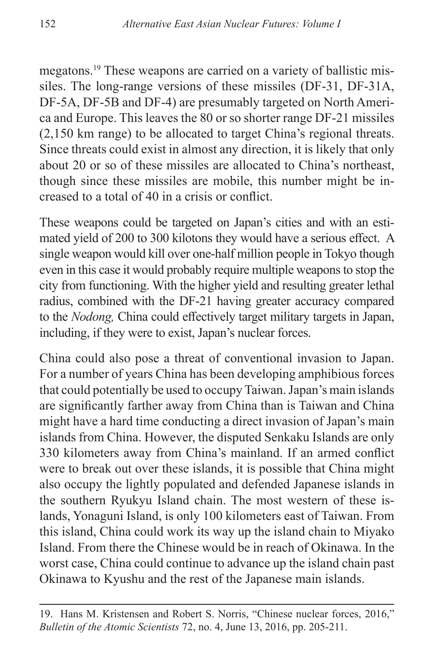megatons.19 These weapons are carried on a variety of ballistic missiles. The long-range versions of these missiles (DF-31, DF-31A, DF-5A, DF-5B and DF-4) are presumably targeted on North America and Europe. This leaves the 80 or so shorter range DF-21 missiles (2,150 km range) to be allocated to target China's regional threats. Since threats could exist in almost any direction, it is likely that only about 20 or so of these missiles are allocated to China's northeast, though since these missiles are mobile, this number might be increased to a total of 40 in a crisis or conflict.

These weapons could be targeted on Japan's cities and with an estimated yield of 200 to 300 kilotons they would have a serious effect. A single weapon would kill over one-half million people in Tokyo though even in this case it would probably require multiple weapons to stop the city from functioning. With the higher yield and resulting greater lethal radius, combined with the DF-21 having greater accuracy compared to the *Nodong,* China could effectively target military targets in Japan, including, if they were to exist, Japan's nuclear forces.

China could also pose a threat of conventional invasion to Japan. For a number of years China has been developing amphibious forces that could potentially be used to occupy Taiwan. Japan's main islands are significantly farther away from China than is Taiwan and China might have a hard time conducting a direct invasion of Japan's main islands from China. However, the disputed Senkaku Islands are only 330 kilometers away from China's mainland. If an armed conflict were to break out over these islands, it is possible that China might also occupy the lightly populated and defended Japanese islands in the southern Ryukyu Island chain. The most western of these islands, Yonaguni Island, is only 100 kilometers east of Taiwan. From this island, China could work its way up the island chain to Miyako Island. From there the Chinese would be in reach of Okinawa. In the worst case, China could continue to advance up the island chain past Okinawa to Kyushu and the rest of the Japanese main islands.

<sup>19.</sup> Hans M. Kristensen and Robert S. Norris, "Chinese nuclear forces, 2016," *Bulletin of the Atomic Scientists* 72, no. 4, June 13, 2016, pp. 205-211.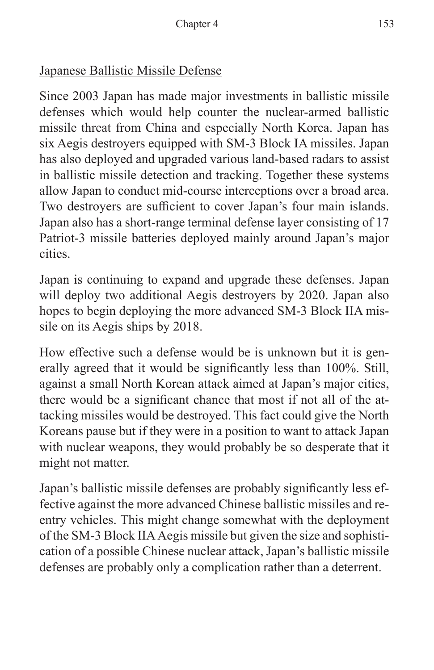## Japanese Ballistic Missile Defense

Since 2003 Japan has made major investments in ballistic missile defenses which would help counter the nuclear-armed ballistic missile threat from China and especially North Korea. Japan has six Aegis destroyers equipped with SM-3 Block IA missiles. Japan has also deployed and upgraded various land-based radars to assist in ballistic missile detection and tracking. Together these systems allow Japan to conduct mid-course interceptions over a broad area. Two destroyers are sufficient to cover Japan's four main islands. Japan also has a short-range terminal defense layer consisting of 17 Patriot-3 missile batteries deployed mainly around Japan's major cities.

Japan is continuing to expand and upgrade these defenses. Japan will deploy two additional Aegis destroyers by 2020. Japan also hopes to begin deploying the more advanced SM-3 Block IIA missile on its Aegis ships by 2018.

How effective such a defense would be is unknown but it is generally agreed that it would be significantly less than 100%. Still, against a small North Korean attack aimed at Japan's major cities, there would be a significant chance that most if not all of the attacking missiles would be destroyed. This fact could give the North Koreans pause but if they were in a position to want to attack Japan with nuclear weapons, they would probably be so desperate that it might not matter.

Japan's ballistic missile defenses are probably significantly less effective against the more advanced Chinese ballistic missiles and reentry vehicles. This might change somewhat with the deployment of the SM-3 Block IIA Aegis missile but given the size and sophistication of a possible Chinese nuclear attack, Japan's ballistic missile defenses are probably only a complication rather than a deterrent.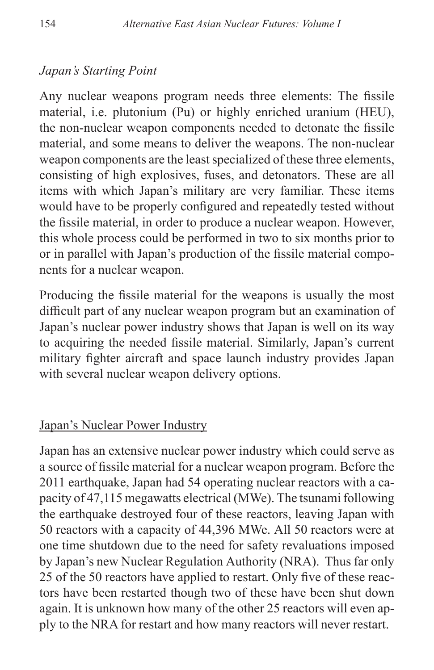## *Japan's Starting Point*

Any nuclear weapons program needs three elements: The fissile material, i.e. plutonium (Pu) or highly enriched uranium (HEU), the non-nuclear weapon components needed to detonate the fissile material, and some means to deliver the weapons. The non-nuclear weapon components are the least specialized of these three elements, consisting of high explosives, fuses, and detonators. These are all items with which Japan's military are very familiar. These items would have to be properly configured and repeatedly tested without the fissile material, in order to produce a nuclear weapon. However, this whole process could be performed in two to six months prior to or in parallel with Japan's production of the fissile material components for a nuclear weapon.

Producing the fissile material for the weapons is usually the most difficult part of any nuclear weapon program but an examination of Japan's nuclear power industry shows that Japan is well on its way to acquiring the needed fissile material. Similarly, Japan's current military fighter aircraft and space launch industry provides Japan with several nuclear weapon delivery options.

#### Japan's Nuclear Power Industry

Japan has an extensive nuclear power industry which could serve as a source of fissile material for a nuclear weapon program. Before the 2011 earthquake, Japan had 54 operating nuclear reactors with a capacity of 47,115 megawatts electrical (MWe). The tsunami following the earthquake destroyed four of these reactors, leaving Japan with 50 reactors with a capacity of 44,396 MWe. All 50 reactors were at one time shutdown due to the need for safety revaluations imposed by Japan's new Nuclear Regulation Authority (NRA). Thus far only 25 of the 50 reactors have applied to restart. Only five of these reactors have been restarted though two of these have been shut down again. It is unknown how many of the other 25 reactors will even apply to the NRA for restart and how many reactors will never restart.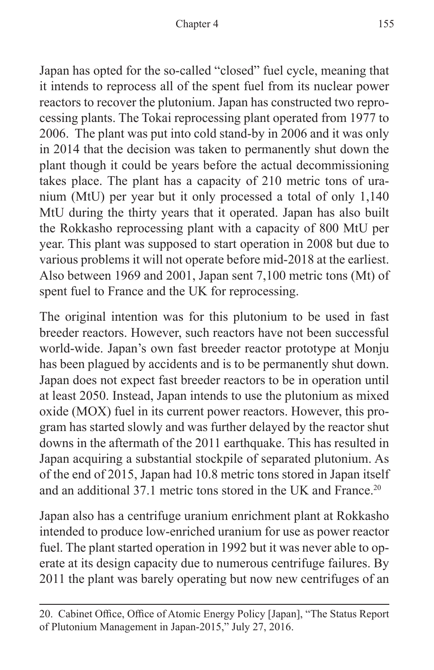Japan has opted for the so-called "closed" fuel cycle, meaning that it intends to reprocess all of the spent fuel from its nuclear power reactors to recover the plutonium. Japan has constructed two reprocessing plants. The Tokai reprocessing plant operated from 1977 to 2006. The plant was put into cold stand-by in 2006 and it was only in 2014 that the decision was taken to permanently shut down the plant though it could be years before the actual decommissioning takes place. The plant has a capacity of 210 metric tons of uranium (MtU) per year but it only processed a total of only 1,140 MtU during the thirty years that it operated. Japan has also built the Rokkasho reprocessing plant with a capacity of 800 MtU per year. This plant was supposed to start operation in 2008 but due to various problems it will not operate before mid-2018 at the earliest. Also between 1969 and 2001, Japan sent 7,100 metric tons (Mt) of spent fuel to France and the UK for reprocessing.

The original intention was for this plutonium to be used in fast breeder reactors. However, such reactors have not been successful world-wide. Japan's own fast breeder reactor prototype at Monju has been plagued by accidents and is to be permanently shut down. Japan does not expect fast breeder reactors to be in operation until at least 2050. Instead, Japan intends to use the plutonium as mixed oxide (MOX) fuel in its current power reactors. However, this program has started slowly and was further delayed by the reactor shut downs in the aftermath of the 2011 earthquake. This has resulted in Japan acquiring a substantial stockpile of separated plutonium. As of the end of 2015, Japan had 10.8 metric tons stored in Japan itself and an additional 37.1 metric tons stored in the UK and France.<sup>20</sup>

Japan also has a centrifuge uranium enrichment plant at Rokkasho intended to produce low-enriched uranium for use as power reactor fuel. The plant started operation in 1992 but it was never able to operate at its design capacity due to numerous centrifuge failures. By 2011 the plant was barely operating but now new centrifuges of an

<sup>20.</sup> Cabinet Office, Office of Atomic Energy Policy [Japan], "The Status Report of Plutonium Management in Japan-2015," July 27, 2016.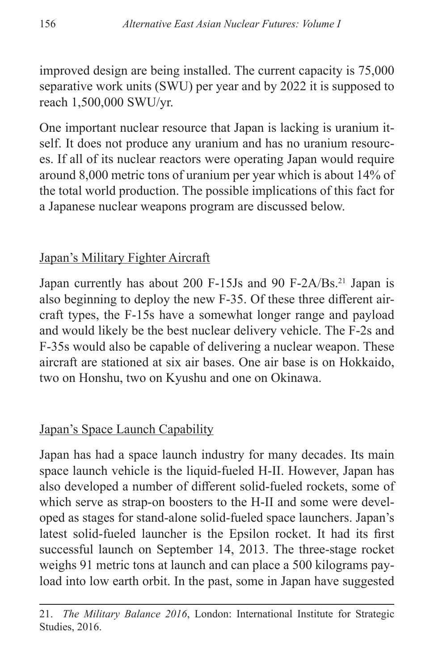improved design are being installed. The current capacity is 75,000 separative work units (SWU) per year and by 2022 it is supposed to reach 1,500,000 SWU/yr.

One important nuclear resource that Japan is lacking is uranium itself. It does not produce any uranium and has no uranium resources. If all of its nuclear reactors were operating Japan would require around 8,000 metric tons of uranium per year which is about 14% of the total world production. The possible implications of this fact for a Japanese nuclear weapons program are discussed below.

#### Japan's Military Fighter Aircraft

Japan currently has about 200 F-15Js and 90 F-2A/Bs.<sup>21</sup> Japan is also beginning to deploy the new F-35. Of these three different aircraft types, the F-15s have a somewhat longer range and payload and would likely be the best nuclear delivery vehicle. The F-2s and F-35s would also be capable of delivering a nuclear weapon. These aircraft are stationed at six air bases. One air base is on Hokkaido, two on Honshu, two on Kyushu and one on Okinawa.

## Japan's Space Launch Capability

Japan has had a space launch industry for many decades. Its main space launch vehicle is the liquid-fueled H-II. However, Japan has also developed a number of different solid-fueled rockets, some of which serve as strap-on boosters to the H-II and some were developed as stages for stand-alone solid-fueled space launchers. Japan's latest solid-fueled launcher is the Epsilon rocket. It had its first successful launch on September 14, 2013. The three-stage rocket weighs 91 metric tons at launch and can place a 500 kilograms payload into low earth orbit. In the past, some in Japan have suggested

<sup>21.</sup> *The Military Balance 2016*, London: International Institute for Strategic Studies, 2016.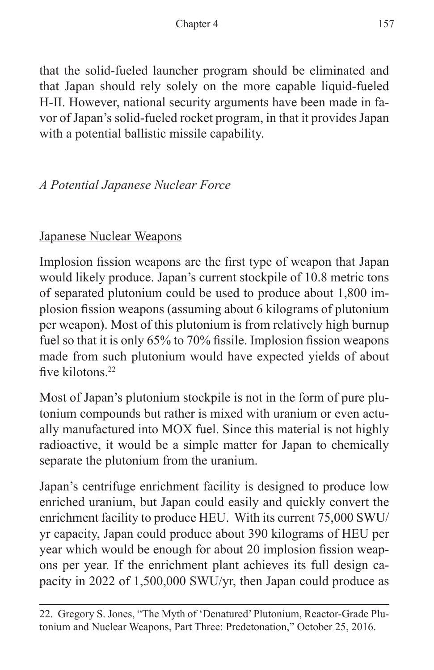that the solid-fueled launcher program should be eliminated and that Japan should rely solely on the more capable liquid-fueled H-II. However, national security arguments have been made in favor of Japan's solid-fueled rocket program, in that it provides Japan with a potential ballistic missile capability.

## *A Potential Japanese Nuclear Force*

## Japanese Nuclear Weapons

Implosion fission weapons are the first type of weapon that Japan would likely produce. Japan's current stockpile of 10.8 metric tons of separated plutonium could be used to produce about 1,800 implosion fission weapons (assuming about 6 kilograms of plutonium per weapon). Most of this plutonium is from relatively high burnup fuel so that it is only 65% to 70% fissile. Implosion fission weapons made from such plutonium would have expected yields of about five kilotons<sup>22</sup>

Most of Japan's plutonium stockpile is not in the form of pure plutonium compounds but rather is mixed with uranium or even actually manufactured into MOX fuel. Since this material is not highly radioactive, it would be a simple matter for Japan to chemically separate the plutonium from the uranium.

Japan's centrifuge enrichment facility is designed to produce low enriched uranium, but Japan could easily and quickly convert the enrichment facility to produce HEU. With its current 75,000 SWU/ yr capacity, Japan could produce about 390 kilograms of HEU per year which would be enough for about 20 implosion fission weapons per year. If the enrichment plant achieves its full design capacity in 2022 of 1,500,000 SWU/yr, then Japan could produce as

<sup>22.</sup> Gregory S. Jones, "The Myth of 'Denatured' Plutonium, Reactor-Grade Plutonium and Nuclear Weapons, Part Three: Predetonation," October 25, 2016.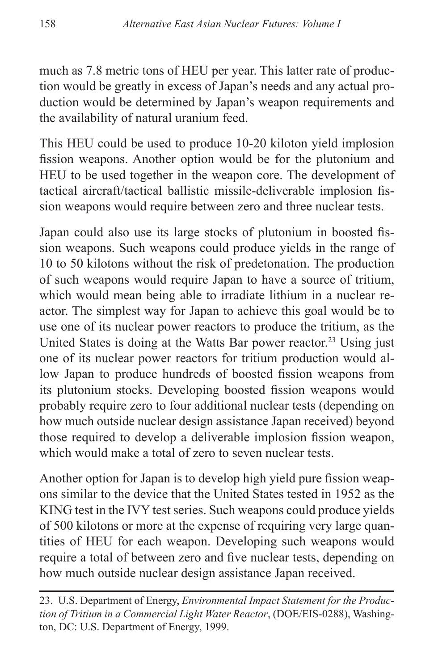much as 7.8 metric tons of HEU per year. This latter rate of production would be greatly in excess of Japan's needs and any actual production would be determined by Japan's weapon requirements and the availability of natural uranium feed.

This HEU could be used to produce 10-20 kiloton yield implosion fission weapons. Another option would be for the plutonium and HEU to be used together in the weapon core. The development of tactical aircraft/tactical ballistic missile-deliverable implosion fission weapons would require between zero and three nuclear tests.

Japan could also use its large stocks of plutonium in boosted fission weapons. Such weapons could produce yields in the range of 10 to 50 kilotons without the risk of predetonation. The production of such weapons would require Japan to have a source of tritium, which would mean being able to irradiate lithium in a nuclear reactor. The simplest way for Japan to achieve this goal would be to use one of its nuclear power reactors to produce the tritium, as the United States is doing at the Watts Bar power reactor.<sup>23</sup> Using just one of its nuclear power reactors for tritium production would allow Japan to produce hundreds of boosted fission weapons from its plutonium stocks. Developing boosted fission weapons would probably require zero to four additional nuclear tests (depending on how much outside nuclear design assistance Japan received) beyond those required to develop a deliverable implosion fission weapon, which would make a total of zero to seven nuclear tests.

Another option for Japan is to develop high yield pure fission weapons similar to the device that the United States tested in 1952 as the KING test in the IVY test series. Such weapons could produce yields of 500 kilotons or more at the expense of requiring very large quantities of HEU for each weapon. Developing such weapons would require a total of between zero and five nuclear tests, depending on how much outside nuclear design assistance Japan received.

<sup>23.</sup> U.S. Department of Energy, *Environmental Impact Statement for the Production of Tritium in a Commercial Light Water Reactor*, (DOE/EIS-0288), Washington, DC: U.S. Department of Energy, 1999.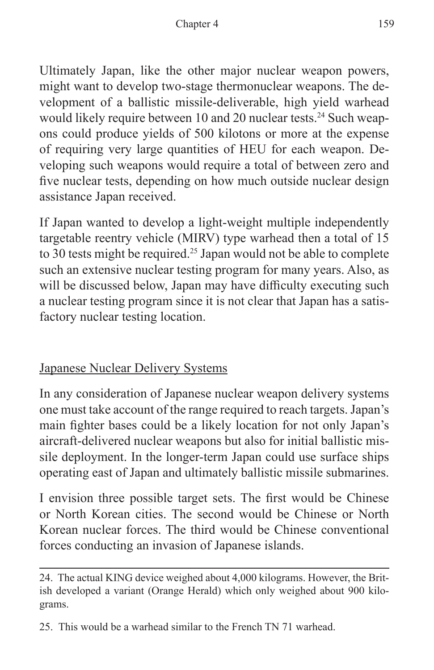Ultimately Japan, like the other major nuclear weapon powers, might want to develop two-stage thermonuclear weapons. The development of a ballistic missile-deliverable, high yield warhead would likely require between 10 and 20 nuclear tests.<sup>24</sup> Such weapons could produce yields of 500 kilotons or more at the expense of requiring very large quantities of HEU for each weapon. Developing such weapons would require a total of between zero and five nuclear tests, depending on how much outside nuclear design assistance Japan received.

If Japan wanted to develop a light-weight multiple independently targetable reentry vehicle (MIRV) type warhead then a total of 15 to 30 tests might be required.<sup>25</sup> Japan would not be able to complete such an extensive nuclear testing program for many years. Also, as will be discussed below, Japan may have difficulty executing such a nuclear testing program since it is not clear that Japan has a satisfactory nuclear testing location.

## Japanese Nuclear Delivery Systems

In any consideration of Japanese nuclear weapon delivery systems one must take account of the range required to reach targets. Japan's main fighter bases could be a likely location for not only Japan's aircraft-delivered nuclear weapons but also for initial ballistic missile deployment. In the longer-term Japan could use surface ships operating east of Japan and ultimately ballistic missile submarines.

I envision three possible target sets. The first would be Chinese or North Korean cities. The second would be Chinese or North Korean nuclear forces. The third would be Chinese conventional forces conducting an invasion of Japanese islands.

25. This would be a warhead similar to the French TN 71 warhead.

<sup>24.</sup> The actual KING device weighed about 4,000 kilograms. However, the British developed a variant (Orange Herald) which only weighed about 900 kilograms.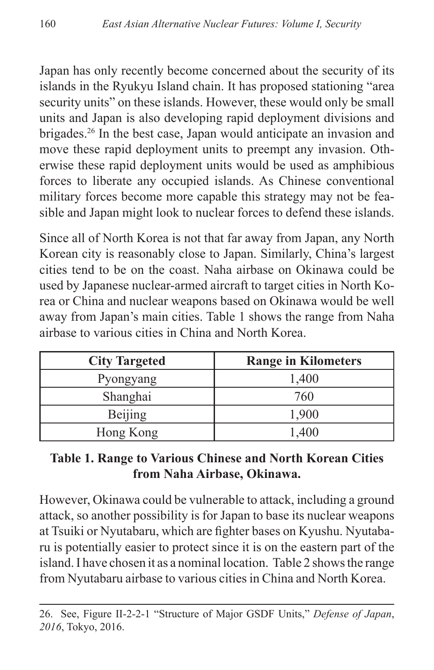Japan has only recently become concerned about the security of its islands in the Ryukyu Island chain. It has proposed stationing "area security units" on these islands. However, these would only be small units and Japan is also developing rapid deployment divisions and brigades.<sup>26</sup> In the best case, Japan would anticipate an invasion and move these rapid deployment units to preempt any invasion. Otherwise these rapid deployment units would be used as amphibious forces to liberate any occupied islands. As Chinese conventional military forces become more capable this strategy may not be feasible and Japan might look to nuclear forces to defend these islands.

Since all of North Korea is not that far away from Japan, any North Korean city is reasonably close to Japan. Similarly, China's largest cities tend to be on the coast. Naha airbase on Okinawa could be used by Japanese nuclear-armed aircraft to target cities in North Korea or China and nuclear weapons based on Okinawa would be well away from Japan's main cities. Table 1 shows the range from Naha airbase to various cities in China and North Korea.

| <b>City Targeted</b> | <b>Range in Kilometers</b> |
|----------------------|----------------------------|
| Pyongyang            | 1,400                      |
| Shanghai             | 760                        |
| Beijing              | 1,900                      |
| Hong Kong            | 1,400                      |

#### **Table 1. Range to Various Chinese and North Korean Cities from Naha Airbase, Okinawa.**

However, Okinawa could be vulnerable to attack, including a ground attack, so another possibility is for Japan to base its nuclear weapons at Tsuiki or Nyutabaru, which are fighter bases on Kyushu. Nyutabaru is potentially easier to protect since it is on the eastern part of the island. I have chosen it as a nominal location. Table 2 shows the range from Nyutabaru airbase to various cities in China and North Korea.

<sup>26.</sup> See, Figure II-2-2-1 "Structure of Major GSDF Units," *Defense of Japan*, *2016*, Tokyo, 2016.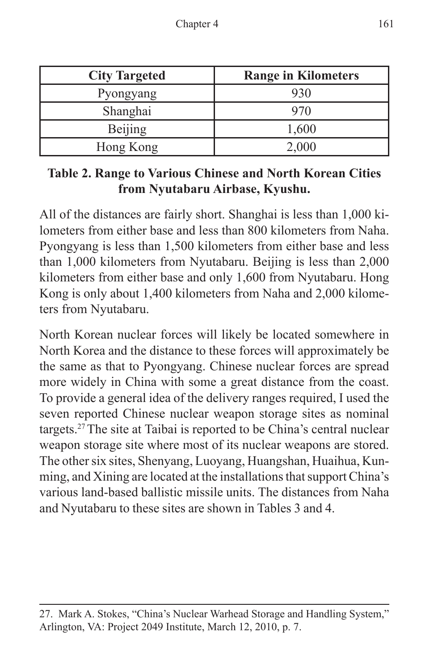| <b>City Targeted</b> | <b>Range in Kilometers</b> |
|----------------------|----------------------------|
| Pyongyang            | 930                        |
| Shanghai             | 970                        |
| Beijing              | 1,600                      |
| Hong Kong            | 2,000                      |

#### **Table 2. Range to Various Chinese and North Korean Cities from Nyutabaru Airbase, Kyushu.**

All of the distances are fairly short. Shanghai is less than 1,000 kilometers from either base and less than 800 kilometers from Naha. Pyongyang is less than 1,500 kilometers from either base and less than 1,000 kilometers from Nyutabaru. Beijing is less than 2,000 kilometers from either base and only 1,600 from Nyutabaru. Hong Kong is only about 1,400 kilometers from Naha and 2,000 kilometers from Nyutabaru.

North Korean nuclear forces will likely be located somewhere in North Korea and the distance to these forces will approximately be the same as that to Pyongyang. Chinese nuclear forces are spread more widely in China with some a great distance from the coast. To provide a general idea of the delivery ranges required, I used the seven reported Chinese nuclear weapon storage sites as nominal targets.27The site at Taibai is reported to be China's central nuclear weapon storage site where most of its nuclear weapons are stored. The other six sites, Shenyang, Luoyang, Huangshan, Huaihua, Kunming, and Xining are located at the installations that support China's various land-based ballistic missile units. The distances from Naha and Nyutabaru to these sites are shown in Tables 3 and 4.

<sup>27.</sup> Mark A. Stokes, "China's Nuclear Warhead Storage and Handling System," Arlington, VA: Project 2049 Institute, March 12, 2010, p. 7.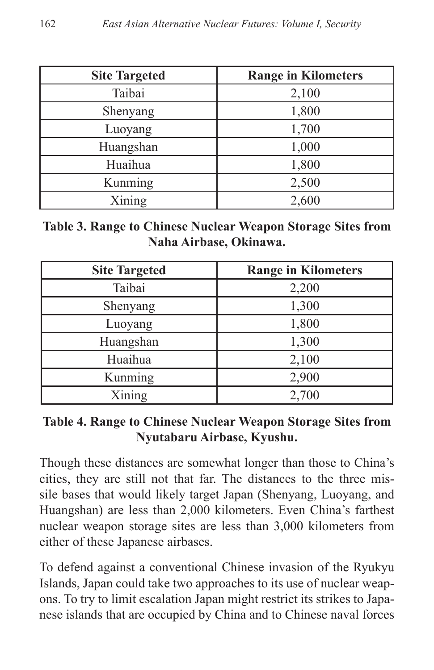| <b>Site Targeted</b> | <b>Range in Kilometers</b> |
|----------------------|----------------------------|
| Taibai               | 2,100                      |
| Shenyang             | 1,800                      |
| Luoyang              | 1,700                      |
| Huangshan            | 1,000                      |
| Huaihua              | 1,800                      |
| Kunming              | 2,500                      |
| Xining               | 2,600                      |

**Table 3. Range to Chinese Nuclear Weapon Storage Sites from Naha Airbase, Okinawa.**

| <b>Site Targeted</b> | <b>Range in Kilometers</b> |
|----------------------|----------------------------|
| Taibai               | 2,200                      |
| Shenyang             | 1,300                      |
| Luoyang              | 1,800                      |
| Huangshan            | 1,300                      |
| Huaihua              | 2,100                      |
| Kunming              | 2,900                      |
| Xining               | 2,700                      |

**Table 4. Range to Chinese Nuclear Weapon Storage Sites from Nyutabaru Airbase, Kyushu.**

Though these distances are somewhat longer than those to China's cities, they are still not that far. The distances to the three missile bases that would likely target Japan (Shenyang, Luoyang, and Huangshan) are less than 2,000 kilometers. Even China's farthest nuclear weapon storage sites are less than 3,000 kilometers from either of these Japanese airbases.

To defend against a conventional Chinese invasion of the Ryukyu Islands, Japan could take two approaches to its use of nuclear weapons. To try to limit escalation Japan might restrict its strikes to Japanese islands that are occupied by China and to Chinese naval forces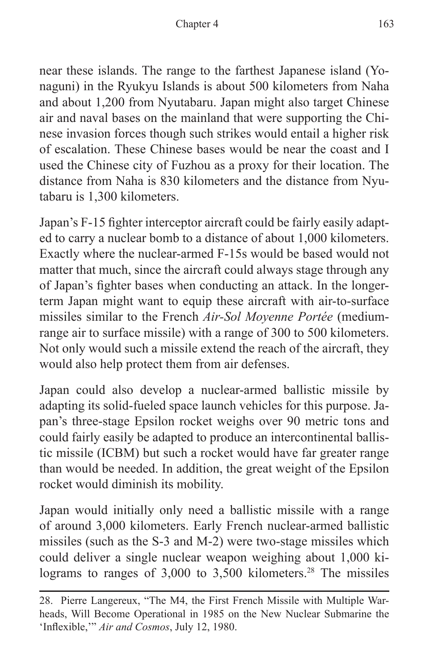near these islands. The range to the farthest Japanese island (Yonaguni) in the Ryukyu Islands is about 500 kilometers from Naha and about 1,200 from Nyutabaru. Japan might also target Chinese air and naval bases on the mainland that were supporting the Chinese invasion forces though such strikes would entail a higher risk of escalation. These Chinese bases would be near the coast and I used the Chinese city of Fuzhou as a proxy for their location. The distance from Naha is 830 kilometers and the distance from Nyutabaru is 1,300 kilometers.

Japan's F-15 fighter interceptor aircraft could be fairly easily adapted to carry a nuclear bomb to a distance of about 1,000 kilometers. Exactly where the nuclear-armed F-15s would be based would not matter that much, since the aircraft could always stage through any of Japan's fighter bases when conducting an attack. In the longerterm Japan might want to equip these aircraft with air-to-surface missiles similar to the French *Air-Sol Moyenne Portée* (mediumrange air to surface missile) with a range of 300 to 500 kilometers. Not only would such a missile extend the reach of the aircraft, they would also help protect them from air defenses.

Japan could also develop a nuclear-armed ballistic missile by adapting its solid-fueled space launch vehicles for this purpose. Japan's three-stage Epsilon rocket weighs over 90 metric tons and could fairly easily be adapted to produce an intercontinental ballistic missile (ICBM) but such a rocket would have far greater range than would be needed. In addition, the great weight of the Epsilon rocket would diminish its mobility.

Japan would initially only need a ballistic missile with a range of around 3,000 kilometers. Early French nuclear-armed ballistic missiles (such as the S-3 and M-2) were two-stage missiles which could deliver a single nuclear weapon weighing about 1,000 kilograms to ranges of 3,000 to 3,500 kilometers.<sup>28</sup> The missiles

<sup>28.</sup> Pierre Langereux, "The M4, the First French Missile with Multiple Warheads, Will Become Operational in 1985 on the New Nuclear Submarine the 'Inflexible,'" *Air and Cosmos*, July 12, 1980.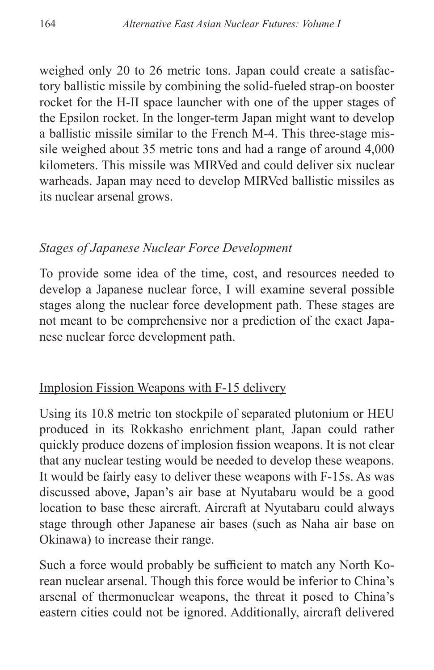weighed only 20 to 26 metric tons. Japan could create a satisfactory ballistic missile by combining the solid-fueled strap-on booster rocket for the H-II space launcher with one of the upper stages of the Epsilon rocket. In the longer-term Japan might want to develop a ballistic missile similar to the French M-4. This three-stage missile weighed about 35 metric tons and had a range of around 4,000 kilometers. This missile was MIRVed and could deliver six nuclear warheads. Japan may need to develop MIRVed ballistic missiles as its nuclear arsenal grows.

## *Stages of Japanese Nuclear Force Development*

To provide some idea of the time, cost, and resources needed to develop a Japanese nuclear force, I will examine several possible stages along the nuclear force development path. These stages are not meant to be comprehensive nor a prediction of the exact Japanese nuclear force development path.

## Implosion Fission Weapons with F-15 delivery

Using its 10.8 metric ton stockpile of separated plutonium or HEU produced in its Rokkasho enrichment plant, Japan could rather quickly produce dozens of implosion fission weapons. It is not clear that any nuclear testing would be needed to develop these weapons. It would be fairly easy to deliver these weapons with F-15s. As was discussed above, Japan's air base at Nyutabaru would be a good location to base these aircraft. Aircraft at Nyutabaru could always stage through other Japanese air bases (such as Naha air base on Okinawa) to increase their range.

Such a force would probably be sufficient to match any North Korean nuclear arsenal. Though this force would be inferior to China's arsenal of thermonuclear weapons, the threat it posed to China's eastern cities could not be ignored. Additionally, aircraft delivered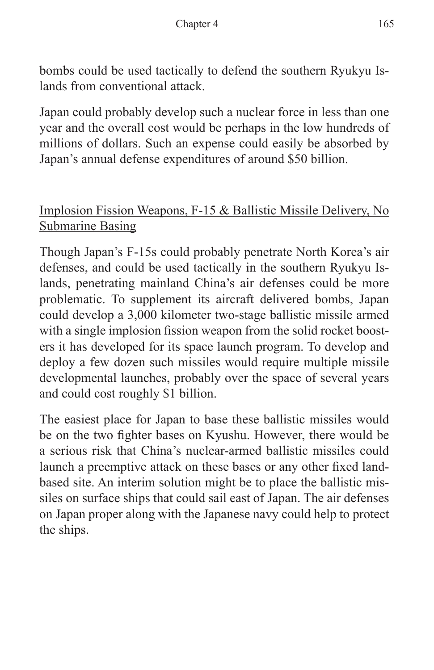bombs could be used tactically to defend the southern Ryukyu Islands from conventional attack.

Japan could probably develop such a nuclear force in less than one year and the overall cost would be perhaps in the low hundreds of millions of dollars. Such an expense could easily be absorbed by Japan's annual defense expenditures of around \$50 billion.

## Implosion Fission Weapons, F-15 & Ballistic Missile Delivery, No Submarine Basing

Though Japan's F-15s could probably penetrate North Korea's air defenses, and could be used tactically in the southern Ryukyu Islands, penetrating mainland China's air defenses could be more problematic. To supplement its aircraft delivered bombs, Japan could develop a 3,000 kilometer two-stage ballistic missile armed with a single implosion fission weapon from the solid rocket boosters it has developed for its space launch program. To develop and deploy a few dozen such missiles would require multiple missile developmental launches, probably over the space of several years and could cost roughly \$1 billion.

The easiest place for Japan to base these ballistic missiles would be on the two fighter bases on Kyushu. However, there would be a serious risk that China's nuclear-armed ballistic missiles could launch a preemptive attack on these bases or any other fixed landbased site. An interim solution might be to place the ballistic missiles on surface ships that could sail east of Japan. The air defenses on Japan proper along with the Japanese navy could help to protect the ships.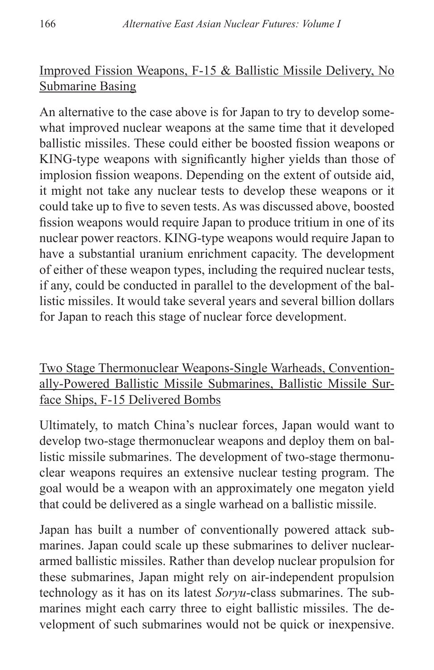## Improved Fission Weapons, F-15 & Ballistic Missile Delivery, No Submarine Basing

An alternative to the case above is for Japan to try to develop somewhat improved nuclear weapons at the same time that it developed ballistic missiles. These could either be boosted fission weapons or KING-type weapons with significantly higher yields than those of implosion fission weapons. Depending on the extent of outside aid, it might not take any nuclear tests to develop these weapons or it could take up to five to seven tests. As was discussed above, boosted fission weapons would require Japan to produce tritium in one of its nuclear power reactors. KING-type weapons would require Japan to have a substantial uranium enrichment capacity. The development of either of these weapon types, including the required nuclear tests, if any, could be conducted in parallel to the development of the ballistic missiles. It would take several years and several billion dollars for Japan to reach this stage of nuclear force development.

Two Stage Thermonuclear Weapons-Single Warheads, Conventionally-Powered Ballistic Missile Submarines, Ballistic Missile Surface Ships, F-15 Delivered Bombs

Ultimately, to match China's nuclear forces, Japan would want to develop two-stage thermonuclear weapons and deploy them on ballistic missile submarines. The development of two-stage thermonuclear weapons requires an extensive nuclear testing program. The goal would be a weapon with an approximately one megaton yield that could be delivered as a single warhead on a ballistic missile.

Japan has built a number of conventionally powered attack submarines. Japan could scale up these submarines to deliver nucleararmed ballistic missiles. Rather than develop nuclear propulsion for these submarines, Japan might rely on air-independent propulsion technology as it has on its latest *Soryu*-class submarines. The submarines might each carry three to eight ballistic missiles. The development of such submarines would not be quick or inexpensive.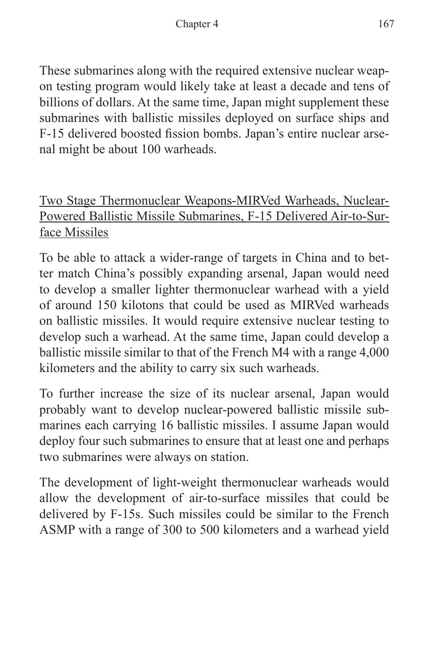These submarines along with the required extensive nuclear weapon testing program would likely take at least a decade and tens of billions of dollars. At the same time, Japan might supplement these submarines with ballistic missiles deployed on surface ships and F-15 delivered boosted fission bombs. Japan's entire nuclear arsenal might be about 100 warheads.

Two Stage Thermonuclear Weapons-MIRVed Warheads, Nuclear-Powered Ballistic Missile Submarines, F-15 Delivered Air-to-Surface Missiles

To be able to attack a wider-range of targets in China and to better match China's possibly expanding arsenal, Japan would need to develop a smaller lighter thermonuclear warhead with a yield of around 150 kilotons that could be used as MIRVed warheads on ballistic missiles. It would require extensive nuclear testing to develop such a warhead. At the same time, Japan could develop a ballistic missile similar to that of the French M4 with a range 4,000 kilometers and the ability to carry six such warheads.

To further increase the size of its nuclear arsenal, Japan would probably want to develop nuclear-powered ballistic missile submarines each carrying 16 ballistic missiles. I assume Japan would deploy four such submarines to ensure that at least one and perhaps two submarines were always on station.

The development of light-weight thermonuclear warheads would allow the development of air-to-surface missiles that could be delivered by F-15s. Such missiles could be similar to the French ASMP with a range of 300 to 500 kilometers and a warhead yield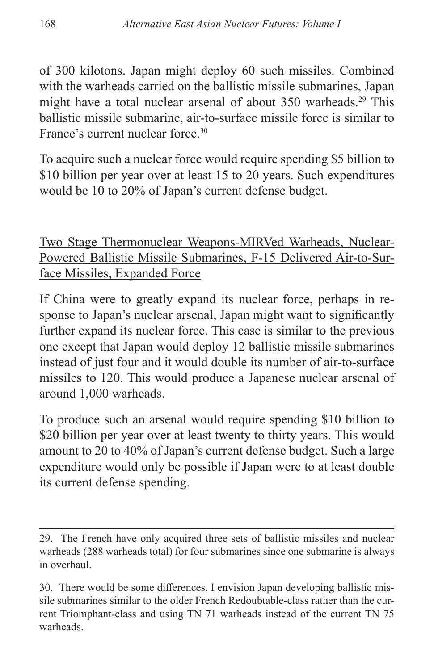of 300 kilotons. Japan might deploy 60 such missiles. Combined with the warheads carried on the ballistic missile submarines, Japan might have a total nuclear arsenal of about 350 warheads.<sup>29</sup> This ballistic missile submarine, air-to-surface missile force is similar to France's current nuclear force.<sup>30</sup>

To acquire such a nuclear force would require spending \$5 billion to \$10 billion per year over at least 15 to 20 years. Such expenditures would be 10 to 20% of Japan's current defense budget.

Two Stage Thermonuclear Weapons-MIRVed Warheads, Nuclear-Powered Ballistic Missile Submarines, F-15 Delivered Air-to-Surface Missiles, Expanded Force

If China were to greatly expand its nuclear force, perhaps in response to Japan's nuclear arsenal, Japan might want to significantly further expand its nuclear force. This case is similar to the previous one except that Japan would deploy 12 ballistic missile submarines instead of just four and it would double its number of air-to-surface missiles to 120. This would produce a Japanese nuclear arsenal of around 1,000 warheads.

To produce such an arsenal would require spending \$10 billion to \$20 billion per year over at least twenty to thirty years. This would amount to 20 to 40% of Japan's current defense budget. Such a large expenditure would only be possible if Japan were to at least double its current defense spending.

<sup>29.</sup> The French have only acquired three sets of ballistic missiles and nuclear warheads (288 warheads total) for four submarines since one submarine is always in overhaul.

<sup>30.</sup> There would be some differences. I envision Japan developing ballistic missile submarines similar to the older French Redoubtable-class rather than the current Triomphant-class and using TN 71 warheads instead of the current TN 75 warheads.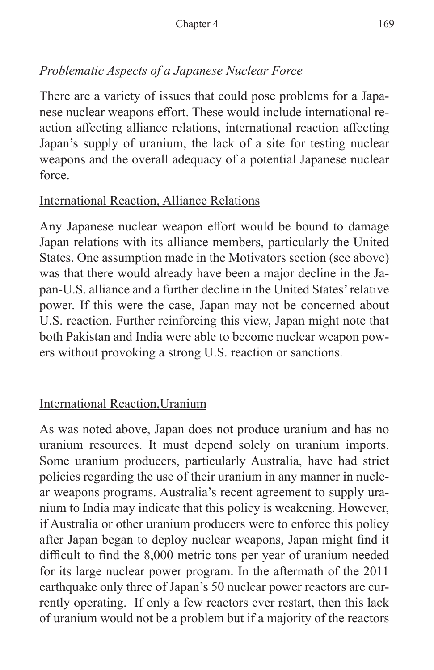## *Problematic Aspects of a Japanese Nuclear Force*

There are a variety of issues that could pose problems for a Japanese nuclear weapons effort. These would include international reaction affecting alliance relations, international reaction affecting Japan's supply of uranium, the lack of a site for testing nuclear weapons and the overall adequacy of a potential Japanese nuclear force.

#### International Reaction, Alliance Relations

Any Japanese nuclear weapon effort would be bound to damage Japan relations with its alliance members, particularly the United States. One assumption made in the Motivators section (see above) was that there would already have been a major decline in the Japan-U.S. alliance and a further decline in the United States' relative power. If this were the case, Japan may not be concerned about U.S. reaction. Further reinforcing this view, Japan might note that both Pakistan and India were able to become nuclear weapon powers without provoking a strong U.S. reaction or sanctions.

## International Reaction,Uranium

As was noted above, Japan does not produce uranium and has no uranium resources. It must depend solely on uranium imports. Some uranium producers, particularly Australia, have had strict policies regarding the use of their uranium in any manner in nuclear weapons programs. Australia's recent agreement to supply uranium to India may indicate that this policy is weakening. However, if Australia or other uranium producers were to enforce this policy after Japan began to deploy nuclear weapons, Japan might find it difficult to find the 8,000 metric tons per year of uranium needed for its large nuclear power program. In the aftermath of the 2011 earthquake only three of Japan's 50 nuclear power reactors are currently operating. If only a few reactors ever restart, then this lack of uranium would not be a problem but if a majority of the reactors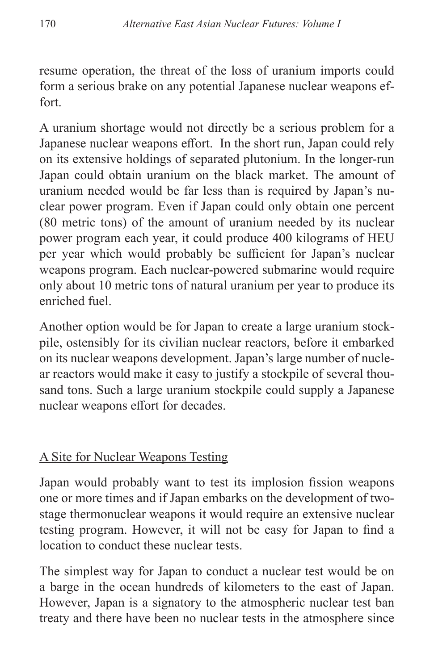resume operation, the threat of the loss of uranium imports could form a serious brake on any potential Japanese nuclear weapons effort.

A uranium shortage would not directly be a serious problem for a Japanese nuclear weapons effort. In the short run, Japan could rely on its extensive holdings of separated plutonium. In the longer-run Japan could obtain uranium on the black market. The amount of uranium needed would be far less than is required by Japan's nuclear power program. Even if Japan could only obtain one percent (80 metric tons) of the amount of uranium needed by its nuclear power program each year, it could produce 400 kilograms of HEU per year which would probably be sufficient for Japan's nuclear weapons program. Each nuclear-powered submarine would require only about 10 metric tons of natural uranium per year to produce its enriched fuel.

Another option would be for Japan to create a large uranium stockpile, ostensibly for its civilian nuclear reactors, before it embarked on its nuclear weapons development. Japan's large number of nuclear reactors would make it easy to justify a stockpile of several thousand tons. Such a large uranium stockpile could supply a Japanese nuclear weapons effort for decades.

## A Site for Nuclear Weapons Testing

Japan would probably want to test its implosion fission weapons one or more times and if Japan embarks on the development of twostage thermonuclear weapons it would require an extensive nuclear testing program. However, it will not be easy for Japan to find a location to conduct these nuclear tests.

The simplest way for Japan to conduct a nuclear test would be on a barge in the ocean hundreds of kilometers to the east of Japan. However, Japan is a signatory to the atmospheric nuclear test ban treaty and there have been no nuclear tests in the atmosphere since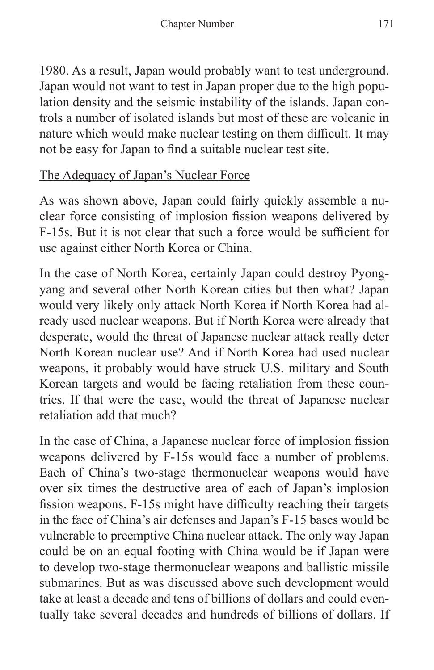1980. As a result, Japan would probably want to test underground. Japan would not want to test in Japan proper due to the high population density and the seismic instability of the islands. Japan controls a number of isolated islands but most of these are volcanic in nature which would make nuclear testing on them difficult. It may not be easy for Japan to find a suitable nuclear test site.

## The Adequacy of Japan's Nuclear Force

As was shown above, Japan could fairly quickly assemble a nuclear force consisting of implosion fission weapons delivered by F-15s. But it is not clear that such a force would be sufficient for use against either North Korea or China.

In the case of North Korea, certainly Japan could destroy Pyongyang and several other North Korean cities but then what? Japan would very likely only attack North Korea if North Korea had already used nuclear weapons. But if North Korea were already that desperate, would the threat of Japanese nuclear attack really deter North Korean nuclear use? And if North Korea had used nuclear weapons, it probably would have struck U.S. military and South Korean targets and would be facing retaliation from these countries. If that were the case, would the threat of Japanese nuclear retaliation add that much?

In the case of China, a Japanese nuclear force of implosion fission weapons delivered by F-15s would face a number of problems. Each of China's two-stage thermonuclear weapons would have over six times the destructive area of each of Japan's implosion fission weapons. F-15s might have difficulty reaching their targets in the face of China's air defenses and Japan's F-15 bases would be vulnerable to preemptive China nuclear attack. The only way Japan could be on an equal footing with China would be if Japan were to develop two-stage thermonuclear weapons and ballistic missile submarines. But as was discussed above such development would take at least a decade and tens of billions of dollars and could eventually take several decades and hundreds of billions of dollars. If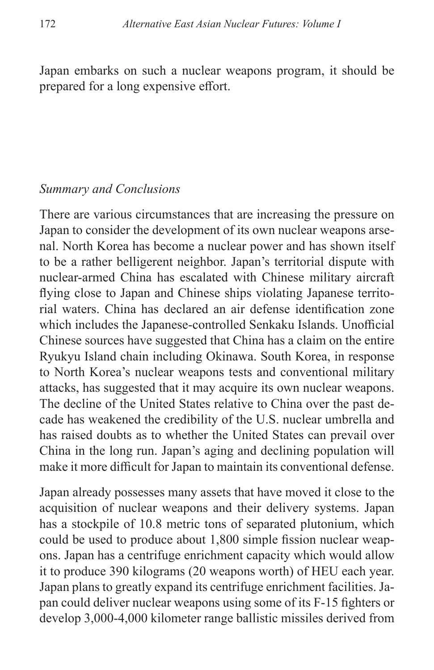Japan embarks on such a nuclear weapons program, it should be prepared for a long expensive effort.

#### *Summary and Conclusions*

There are various circumstances that are increasing the pressure on Japan to consider the development of its own nuclear weapons arsenal. North Korea has become a nuclear power and has shown itself to be a rather belligerent neighbor. Japan's territorial dispute with nuclear-armed China has escalated with Chinese military aircraft flying close to Japan and Chinese ships violating Japanese territorial waters. China has declared an air defense identification zone which includes the Japanese-controlled Senkaku Islands. Unofficial Chinese sources have suggested that China has a claim on the entire Ryukyu Island chain including Okinawa. South Korea, in response to North Korea's nuclear weapons tests and conventional military attacks, has suggested that it may acquire its own nuclear weapons. The decline of the United States relative to China over the past decade has weakened the credibility of the U.S. nuclear umbrella and has raised doubts as to whether the United States can prevail over China in the long run. Japan's aging and declining population will make it more difficult for Japan to maintain its conventional defense.

Japan already possesses many assets that have moved it close to the acquisition of nuclear weapons and their delivery systems. Japan has a stockpile of 10.8 metric tons of separated plutonium, which could be used to produce about 1,800 simple fission nuclear weapons. Japan has a centrifuge enrichment capacity which would allow it to produce 390 kilograms (20 weapons worth) of HEU each year. Japan plans to greatly expand its centrifuge enrichment facilities. Japan could deliver nuclear weapons using some of its F-15 fighters or develop 3,000-4,000 kilometer range ballistic missiles derived from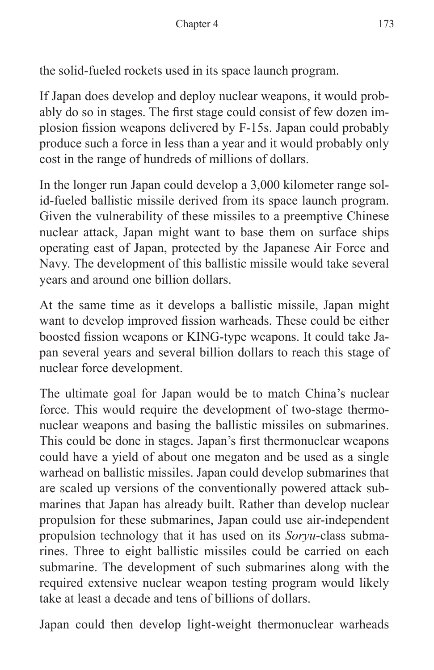the solid-fueled rockets used in its space launch program.

If Japan does develop and deploy nuclear weapons, it would probably do so in stages. The first stage could consist of few dozen implosion fission weapons delivered by F-15s. Japan could probably produce such a force in less than a year and it would probably only cost in the range of hundreds of millions of dollars.

In the longer run Japan could develop a 3,000 kilometer range solid-fueled ballistic missile derived from its space launch program. Given the vulnerability of these missiles to a preemptive Chinese nuclear attack, Japan might want to base them on surface ships operating east of Japan, protected by the Japanese Air Force and Navy. The development of this ballistic missile would take several years and around one billion dollars.

At the same time as it develops a ballistic missile, Japan might want to develop improved fission warheads. These could be either boosted fission weapons or KING-type weapons. It could take Japan several years and several billion dollars to reach this stage of nuclear force development.

The ultimate goal for Japan would be to match China's nuclear force. This would require the development of two-stage thermonuclear weapons and basing the ballistic missiles on submarines. This could be done in stages. Japan's first thermonuclear weapons could have a yield of about one megaton and be used as a single warhead on ballistic missiles. Japan could develop submarines that are scaled up versions of the conventionally powered attack submarines that Japan has already built. Rather than develop nuclear propulsion for these submarines, Japan could use air-independent propulsion technology that it has used on its *Soryu*-class submarines. Three to eight ballistic missiles could be carried on each submarine. The development of such submarines along with the required extensive nuclear weapon testing program would likely take at least a decade and tens of billions of dollars.

Japan could then develop light-weight thermonuclear warheads